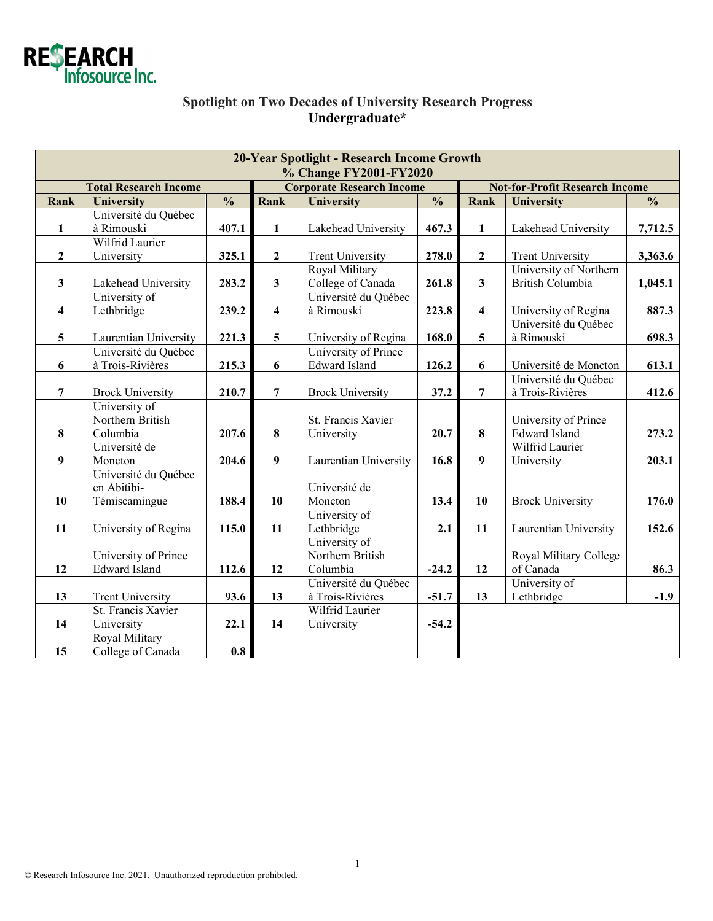

## **Spotlight on Two Decades of University Research Progress Undergraduate\***

| 20-Year Spotlight - Research Income Growth<br>% Change FY2001-FY2020 |                                               |                          |                                  |                                              |                          |                                       |                         |                          |  |  |
|----------------------------------------------------------------------|-----------------------------------------------|--------------------------|----------------------------------|----------------------------------------------|--------------------------|---------------------------------------|-------------------------|--------------------------|--|--|
| <b>Total Research Income</b>                                         |                                               |                          | <b>Corporate Research Income</b> |                                              |                          | <b>Not-for-Profit Research Income</b> |                         |                          |  |  |
| Rank                                                                 | <b>University</b>                             | $\overline{\frac{0}{0}}$ | Rank                             | <b>University</b>                            | $\overline{\frac{0}{0}}$ | Rank                                  | <b>University</b>       | $\overline{\frac{0}{0}}$ |  |  |
|                                                                      | Université du Québec                          |                          |                                  |                                              |                          |                                       |                         |                          |  |  |
| $\mathbf{1}$                                                         | à Rimouski                                    | 407.1                    | $\mathbf{1}$                     | Lakehead University                          | 467.3                    | $\mathbf{1}$                          | Lakehead University     | 7,712.5                  |  |  |
|                                                                      | Wilfrid Laurier                               |                          |                                  |                                              |                          |                                       |                         |                          |  |  |
| $\overline{2}$                                                       | University                                    | 325.1                    | $\mathbf{2}$                     | <b>Trent University</b>                      | 278.0                    | $\overline{2}$                        | <b>Trent University</b> | 3,363.6                  |  |  |
|                                                                      |                                               |                          |                                  | Royal Military                               |                          |                                       | University of Northern  |                          |  |  |
| $\mathbf{3}$                                                         | Lakehead University                           | 283.2                    | $\mathbf{3}$                     | College of Canada                            | 261.8                    | $\mathbf{3}$                          | <b>British Columbia</b> | 1,045.1                  |  |  |
|                                                                      | University of                                 |                          |                                  | Université du Québec                         |                          |                                       |                         |                          |  |  |
| $\overline{\mathbf{4}}$                                              | Lethbridge                                    | 239.2                    | $\overline{\mathbf{4}}$          | à Rimouski                                   | 223.8                    | $\overline{\mathbf{4}}$               | University of Regina    | 887.3                    |  |  |
|                                                                      |                                               |                          |                                  |                                              |                          |                                       | Université du Québec    |                          |  |  |
| 5                                                                    | Laurentian University<br>Université du Québec | 221.3                    | 5                                | University of Regina<br>University of Prince | 168.0                    | 5                                     | à Rimouski              | 698.3                    |  |  |
| 6                                                                    | à Trois-Rivières                              | 215.3                    | 6                                | <b>Edward Island</b>                         | 126.2                    | 6                                     | Université de Moncton   | 613.1                    |  |  |
|                                                                      |                                               |                          |                                  |                                              |                          |                                       | Université du Québec    |                          |  |  |
| $\overline{7}$                                                       | <b>Brock University</b>                       | 210.7                    | $\overline{7}$                   | <b>Brock University</b>                      | 37.2                     | $\overline{7}$                        | à Trois-Rivières        | 412.6                    |  |  |
|                                                                      | University of                                 |                          |                                  |                                              |                          |                                       |                         |                          |  |  |
|                                                                      | Northern British                              |                          |                                  | St. Francis Xavier                           |                          |                                       | University of Prince    |                          |  |  |
| 8                                                                    | Columbia                                      | 207.6                    | $\bf 8$                          | University                                   | 20.7                     | 8                                     | <b>Edward Island</b>    | 273.2                    |  |  |
|                                                                      | Université de                                 |                          |                                  |                                              |                          |                                       | Wilfrid Laurier         |                          |  |  |
| 9                                                                    | Moncton                                       | 204.6                    | $\boldsymbol{9}$                 | Laurentian University                        | 16.8                     | $\boldsymbol{9}$                      | University              | 203.1                    |  |  |
|                                                                      | Université du Québec                          |                          |                                  |                                              |                          |                                       |                         |                          |  |  |
|                                                                      | en Abitibi-                                   |                          |                                  | Université de                                |                          |                                       |                         |                          |  |  |
| 10                                                                   | Témiscamingue                                 | 188.4                    | 10                               | Moncton                                      | 13.4                     | 10                                    | <b>Brock University</b> | 176.0                    |  |  |
|                                                                      |                                               |                          |                                  | University of                                |                          |                                       |                         |                          |  |  |
| 11                                                                   | University of Regina                          | 115.0                    | 11                               | Lethbridge                                   | 2.1                      | 11                                    | Laurentian University   | 152.6                    |  |  |
|                                                                      |                                               |                          |                                  | University of                                |                          |                                       |                         |                          |  |  |
|                                                                      | University of Prince                          |                          |                                  | Northern British                             |                          |                                       | Royal Military College  |                          |  |  |
| 12                                                                   | <b>Edward Island</b>                          | 112.6                    | 12                               | Columbia                                     | $-24.2$                  | 12                                    | of Canada               | 86.3                     |  |  |
|                                                                      |                                               |                          |                                  | Université du Québec                         |                          |                                       | University of           |                          |  |  |
| 13                                                                   | <b>Trent University</b>                       | 93.6                     | 13                               | à Trois-Rivières                             | $-51.7$                  | 13                                    | Lethbridge              | $-1.9$                   |  |  |
|                                                                      | St. Francis Xavier                            |                          |                                  | Wilfrid Laurier                              |                          |                                       |                         |                          |  |  |
| 14                                                                   | University                                    | 22.1                     | 14                               | University                                   | $-54.2$                  |                                       |                         |                          |  |  |
|                                                                      | Royal Military                                |                          |                                  |                                              |                          |                                       |                         |                          |  |  |
| 15                                                                   | College of Canada                             | 0.8                      |                                  |                                              |                          |                                       |                         |                          |  |  |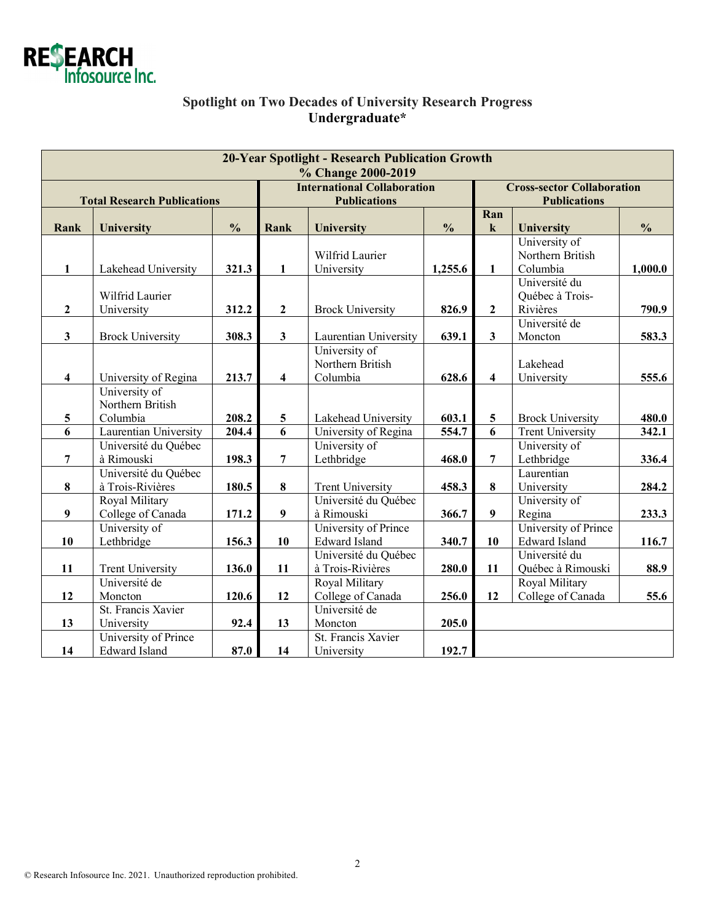

## **Spotlight on Two Decades of University Research Progress Undergraduate\***

| <b>20-Year Spotlight - Research Publication Growth</b> |                                   |               |                                                           |                         |               |                                                          |                         |               |  |  |  |  |
|--------------------------------------------------------|-----------------------------------|---------------|-----------------------------------------------------------|-------------------------|---------------|----------------------------------------------------------|-------------------------|---------------|--|--|--|--|
| % Change 2000-2019                                     |                                   |               |                                                           |                         |               |                                                          |                         |               |  |  |  |  |
| <b>Total Research Publications</b>                     |                                   |               | <b>International Collaboration</b><br><b>Publications</b> |                         |               | <b>Cross-sector Collaboration</b><br><b>Publications</b> |                         |               |  |  |  |  |
|                                                        |                                   |               |                                                           |                         |               | Ran                                                      |                         |               |  |  |  |  |
| Rank                                                   | University                        | $\frac{0}{0}$ | Rank                                                      | <b>University</b>       | $\frac{0}{0}$ | $\bf k$                                                  | University              | $\frac{0}{0}$ |  |  |  |  |
|                                                        |                                   |               |                                                           |                         |               |                                                          | University of           |               |  |  |  |  |
|                                                        |                                   |               |                                                           | Wilfrid Laurier         |               |                                                          | Northern British        |               |  |  |  |  |
| $\mathbf{1}$                                           | Lakehead University               | 321.3         | $\mathbf{1}$                                              | University              | 1,255.6       | $\mathbf{1}$                                             | Columbia                | 1,000.0       |  |  |  |  |
|                                                        |                                   |               |                                                           |                         |               |                                                          | Université du           |               |  |  |  |  |
|                                                        | Wilfrid Laurier                   |               |                                                           |                         |               |                                                          | Québec à Trois-         |               |  |  |  |  |
| $\overline{2}$                                         | University                        | 312.2         | $\boldsymbol{2}$                                          | <b>Brock University</b> | 826.9         | $\overline{2}$                                           | Rivières                | 790.9         |  |  |  |  |
|                                                        |                                   |               |                                                           |                         |               |                                                          | Université de           |               |  |  |  |  |
| $\overline{\mathbf{3}}$                                | <b>Brock University</b>           | 308.3         | $\mathbf{3}$                                              | Laurentian University   | 639.1         | $\overline{\mathbf{3}}$                                  | Moncton                 | 583.3         |  |  |  |  |
|                                                        |                                   |               |                                                           | University of           |               |                                                          |                         |               |  |  |  |  |
|                                                        |                                   |               |                                                           | Northern British        |               |                                                          | Lakehead                |               |  |  |  |  |
| 4                                                      | University of Regina              | 213.7         | $\overline{\mathbf{4}}$                                   | Columbia                | 628.6         | $\overline{\mathbf{4}}$                                  | University              | 555.6         |  |  |  |  |
|                                                        | University of<br>Northern British |               |                                                           |                         |               |                                                          |                         |               |  |  |  |  |
| 5                                                      | Columbia                          | 208.2         | 5                                                         | Lakehead University     | 603.1         | 5                                                        | <b>Brock University</b> | 480.0         |  |  |  |  |
| 6                                                      | Laurentian University             | 204.4         | 6                                                         | University of Regina    | 554.7         | 6                                                        | <b>Trent University</b> | 342.1         |  |  |  |  |
|                                                        | Université du Québec              |               |                                                           | University of           |               |                                                          | University of           |               |  |  |  |  |
| $\overline{7}$                                         | à Rimouski                        | 198.3         | 7                                                         | Lethbridge              | 468.0         | $\overline{7}$                                           | Lethbridge              | 336.4         |  |  |  |  |
|                                                        | Université du Québec              |               |                                                           |                         |               |                                                          | Laurentian              |               |  |  |  |  |
| $\bf{8}$                                               | à Trois-Rivières                  | 180.5         | 8                                                         | <b>Trent University</b> | 458.3         | 8                                                        | University              | 284.2         |  |  |  |  |
|                                                        | Royal Military                    |               |                                                           | Université du Québec    |               |                                                          | University of           |               |  |  |  |  |
| $\boldsymbol{9}$                                       | College of Canada                 | 171.2         | 9                                                         | à Rimouski              | 366.7         | $\overline{9}$                                           | Regina                  | 233.3         |  |  |  |  |
|                                                        | University of                     |               |                                                           | University of Prince    |               |                                                          | University of Prince    |               |  |  |  |  |
| 10                                                     | Lethbridge                        | 156.3         | 10                                                        | <b>Edward Island</b>    | 340.7         | 10                                                       | <b>Edward Island</b>    | 116.7         |  |  |  |  |
|                                                        |                                   |               |                                                           | Université du Québec    |               |                                                          | Université du           |               |  |  |  |  |
| 11                                                     | <b>Trent University</b>           | 136.0         | 11                                                        | à Trois-Rivières        | 280.0         | 11                                                       | Québec à Rimouski       | 88.9          |  |  |  |  |
|                                                        | Université de                     |               |                                                           | Royal Military          |               |                                                          | Royal Military          |               |  |  |  |  |
| 12                                                     | Moncton                           | 120.6         | 12                                                        | College of Canada       | 256.0         | 12                                                       | College of Canada       | 55.6          |  |  |  |  |
|                                                        | St. Francis Xavier                |               |                                                           | Université de           |               |                                                          |                         |               |  |  |  |  |
| 13                                                     | University                        | 92.4          | 13                                                        | Moncton                 | 205.0         |                                                          |                         |               |  |  |  |  |
|                                                        | University of Prince              |               |                                                           | St. Francis Xavier      |               |                                                          |                         |               |  |  |  |  |
| 14                                                     | <b>Edward Island</b>              | 87.0          | 14                                                        | University              | 192.7         |                                                          |                         |               |  |  |  |  |